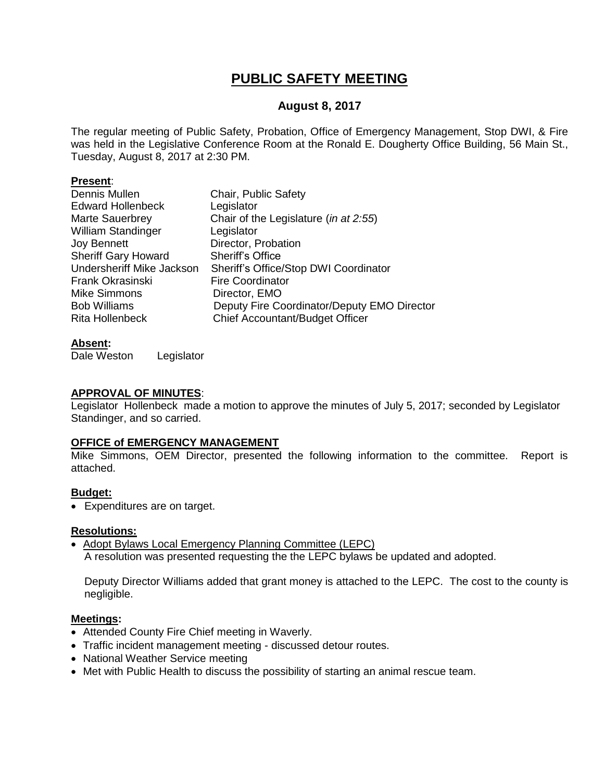# **PUBLIC SAFETY MEETING**

# **August 8, 2017**

The regular meeting of Public Safety, Probation, Office of Emergency Management, Stop DWI, & Fire was held in the Legislative Conference Room at the Ronald E. Dougherty Office Building, 56 Main St., Tuesday, August 8, 2017 at 2:30 PM.

### **Present**:

| Dennis Mullen              | Chair, Public Safety                        |
|----------------------------|---------------------------------------------|
| <b>Edward Hollenbeck</b>   | Legislator                                  |
| Marte Sauerbrey            | Chair of the Legislature (in at 2:55)       |
| <b>William Standinger</b>  | Legislator                                  |
| <b>Joy Bennett</b>         | Director, Probation                         |
| <b>Sheriff Gary Howard</b> | <b>Sheriff's Office</b>                     |
| Undersheriff Mike Jackson  | Sheriff's Office/Stop DWI Coordinator       |
| Frank Okrasinski           | <b>Fire Coordinator</b>                     |
| <b>Mike Simmons</b>        | Director, EMO                               |
| <b>Bob Williams</b>        | Deputy Fire Coordinator/Deputy EMO Director |
| <b>Rita Hollenbeck</b>     | <b>Chief Accountant/Budget Officer</b>      |

### **Absent:**

Dale Weston Legislator

### **APPROVAL OF MINUTES**:

Legislator Hollenbeck made a motion to approve the minutes of July 5, 2017; seconded by Legislator Standinger, and so carried.

### **OFFICE of EMERGENCY MANAGEMENT**

Mike Simmons, OEM Director, presented the following information to the committee. Report is attached.

### **Budget:**

Expenditures are on target.

### **Resolutions:**

• Adopt Bylaws Local Emergency Planning Committee (LEPC) A resolution was presented requesting the the LEPC bylaws be updated and adopted.

Deputy Director Williams added that grant money is attached to the LEPC. The cost to the county is negligible.

### **Meetings:**

- Attended County Fire Chief meeting in Waverly.
- Traffic incident management meeting discussed detour routes.
- National Weather Service meeting
- Met with Public Health to discuss the possibility of starting an animal rescue team.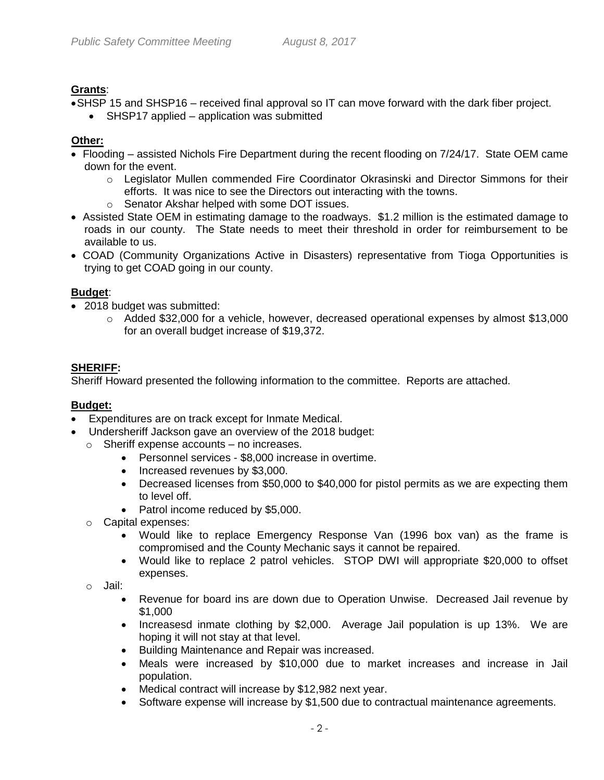# **Grants**:

- SHSP 15 and SHSP16 received final approval so IT can move forward with the dark fiber project.
	- SHSP17 applied application was submitted

# **Other:**

- Flooding assisted Nichols Fire Department during the recent flooding on 7/24/17. State OEM came down for the event.
	- $\circ$  Legislator Mullen commended Fire Coordinator Okrasinski and Director Simmons for their efforts. It was nice to see the Directors out interacting with the towns.
	- o Senator Akshar helped with some DOT issues.
- Assisted State OEM in estimating damage to the roadways. \$1.2 million is the estimated damage to roads in our county. The State needs to meet their threshold in order for reimbursement to be available to us.
- COAD (Community Organizations Active in Disasters) representative from Tioga Opportunities is trying to get COAD going in our county.

# **Budget**:

- 2018 budget was submitted:
	- $\circ$  Added \$32,000 for a vehicle, however, decreased operational expenses by almost \$13,000 for an overall budget increase of \$19,372.

# **SHERIFF:**

Sheriff Howard presented the following information to the committee. Reports are attached.

# **Budget:**

- Expenditures are on track except for Inmate Medical.
- Undersheriff Jackson gave an overview of the 2018 budget:
	- o Sheriff expense accounts no increases.
		- Personnel services \$8,000 increase in overtime.
		- Increased revenues by \$3,000.
		- Decreased licenses from \$50,000 to \$40,000 for pistol permits as we are expecting them to level off.
		- Patrol income reduced by \$5,000.
	- o Capital expenses:
		- Would like to replace Emergency Response Van (1996 box van) as the frame is compromised and the County Mechanic says it cannot be repaired.
		- Would like to replace 2 patrol vehicles. STOP DWI will appropriate \$20,000 to offset expenses.
	- o Jail:
		- Revenue for board ins are down due to Operation Unwise. Decreased Jail revenue by \$1,000
		- Increasesd inmate clothing by \$2,000. Average Jail population is up 13%. We are hoping it will not stay at that level.
		- Building Maintenance and Repair was increased.
		- Meals were increased by \$10,000 due to market increases and increase in Jail population.
		- Medical contract will increase by \$12,982 next year.
		- Software expense will increase by \$1,500 due to contractual maintenance agreements.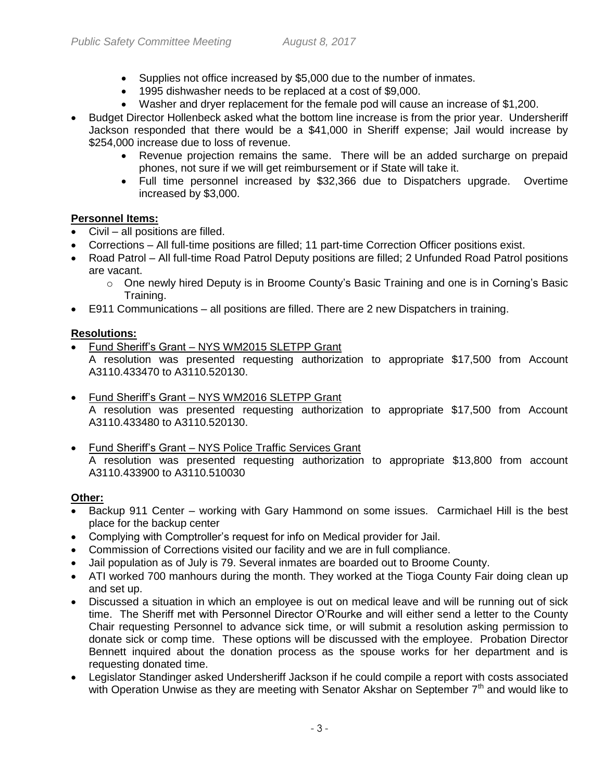- Supplies not office increased by \$5,000 due to the number of inmates.
- 1995 dishwasher needs to be replaced at a cost of \$9,000.
- Washer and dryer replacement for the female pod will cause an increase of \$1,200.
- Budget Director Hollenbeck asked what the bottom line increase is from the prior year. Undersheriff Jackson responded that there would be a \$41,000 in Sheriff expense; Jail would increase by \$254,000 increase due to loss of revenue.
	- Revenue projection remains the same. There will be an added surcharge on prepaid phones, not sure if we will get reimbursement or if State will take it.
	- Full time personnel increased by \$32,366 due to Dispatchers upgrade. Overtime increased by \$3,000.

# **Personnel Items:**

- Civil all positions are filled.
- Corrections All full-time positions are filled; 11 part-time Correction Officer positions exist.
- Road Patrol All full-time Road Patrol Deputy positions are filled; 2 Unfunded Road Patrol positions are vacant.
	- $\circ$  One newly hired Deputy is in Broome County's Basic Training and one is in Corning's Basic Training.
- E911 Communications all positions are filled. There are 2 new Dispatchers in training.

# **Resolutions:**

- Fund Sheriff's Grant NYS WM2015 SLETPP Grant A resolution was presented requesting authorization to appropriate \$17,500 from Account A3110.433470 to A3110.520130.
- Fund Sheriff's Grant NYS WM2016 SLETPP Grant A resolution was presented requesting authorization to appropriate \$17,500 from Account A3110.433480 to A3110.520130.
- Fund Sheriff's Grant NYS Police Traffic Services Grant A resolution was presented requesting authorization to appropriate \$13,800 from account A3110.433900 to A3110.510030

# **Other:**

- Backup 911 Center working with Gary Hammond on some issues. Carmichael Hill is the best place for the backup center
- Complying with Comptroller's request for info on Medical provider for Jail.
- Commission of Corrections visited our facility and we are in full compliance.
- Jail population as of July is 79. Several inmates are boarded out to Broome County.
- ATI worked 700 manhours during the month. They worked at the Tioga County Fair doing clean up and set up.
- Discussed a situation in which an employee is out on medical leave and will be running out of sick time. The Sheriff met with Personnel Director O'Rourke and will either send a letter to the County Chair requesting Personnel to advance sick time, or will submit a resolution asking permission to donate sick or comp time. These options will be discussed with the employee. Probation Director Bennett inquired about the donation process as the spouse works for her department and is requesting donated time.
- Legislator Standinger asked Undersheriff Jackson if he could compile a report with costs associated with Operation Unwise as they are meeting with Senator Akshar on September  $7<sup>th</sup>$  and would like to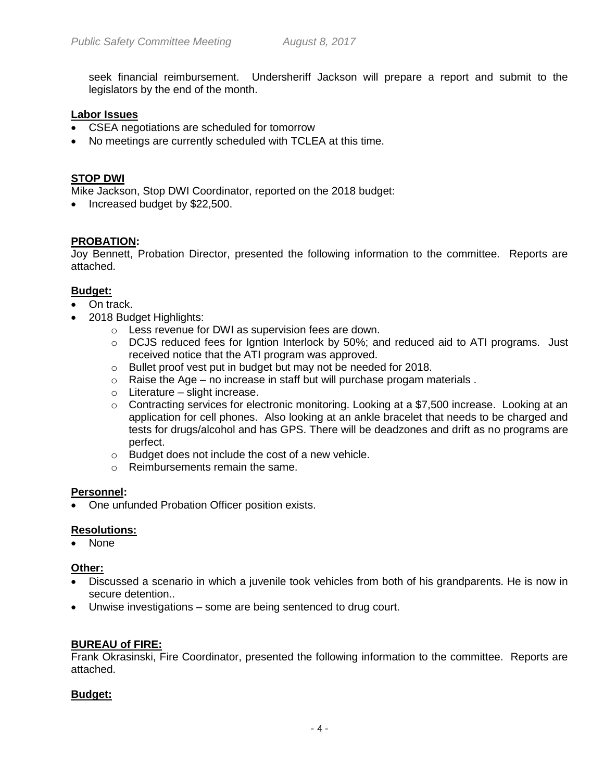seek financial reimbursement. Undersheriff Jackson will prepare a report and submit to the legislators by the end of the month.

### **Labor Issues**

- CSEA negotiations are scheduled for tomorrow
- No meetings are currently scheduled with TCLEA at this time.

### **STOP DWI**

Mike Jackson, Stop DWI Coordinator, reported on the 2018 budget:

• Increased budget by \$22,500.

### **PROBATION:**

Joy Bennett, Probation Director, presented the following information to the committee. Reports are attached.

### **Budget:**

- On track.
- 2018 Budget Highlights:
	- o Less revenue for DWI as supervision fees are down.
	- $\circ$  DCJS reduced fees for Igntion Interlock by 50%; and reduced aid to ATI programs. Just received notice that the ATI program was approved.
	- o Bullet proof vest put in budget but may not be needed for 2018.
	- o Raise the Age no increase in staff but will purchase progam materials .
	- $\circ$  Literature slight increase.
	- $\circ$  Contracting services for electronic monitoring. Looking at a \$7,500 increase. Looking at an application for cell phones. Also looking at an ankle bracelet that needs to be charged and tests for drugs/alcohol and has GPS. There will be deadzones and drift as no programs are perfect.
	- o Budget does not include the cost of a new vehicle.
	- o Reimbursements remain the same.

### **Personnel:**

One unfunded Probation Officer position exists.

### **Resolutions:**

None

### **Other:**

- Discussed a scenario in which a juvenile took vehicles from both of his grandparents. He is now in secure detention..
- Unwise investigations some are being sentenced to drug court.

# **BUREAU of FIRE:**

Frank Okrasinski, Fire Coordinator, presented the following information to the committee. Reports are attached.

### **Budget:**